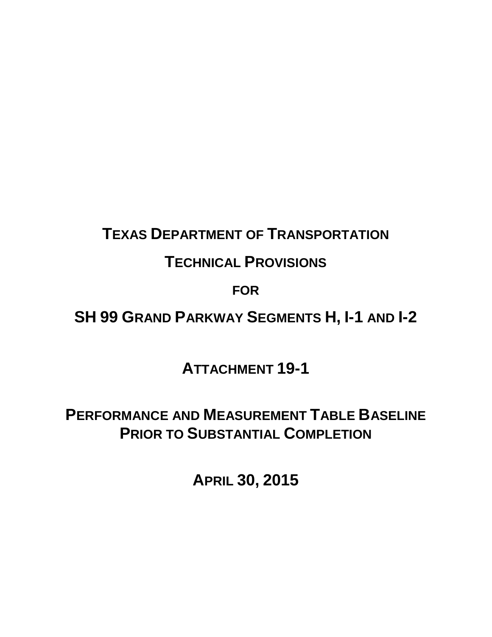# **TEXAS DEPARTMENT OF TRANSPORTATION**

## **TECHNICAL PROVISIONS**

## **FOR**

## **SH 99 GRAND PARKWAY SEGMENTS H, I-1 AND I-2**

## **ATTACHMENT 19-1**

## **PERFORMANCE AND MEASUREMENT TABLE BASELINE PRIOR TO SUBSTANTIAL COMPLETION**

**APRIL 30, 2015**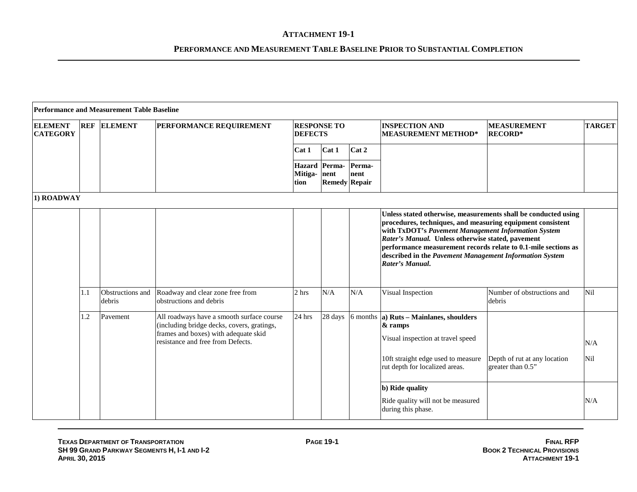|                                   |     | <b>Performance and Measurement Table Baseline</b> |                                                                                                                                                                      |                                                                                                                                                                                                                                                                                                                                                                                          |                                       |                |                                                                                                                                                                                                                                                  |                                                   |                   |
|-----------------------------------|-----|---------------------------------------------------|----------------------------------------------------------------------------------------------------------------------------------------------------------------------|------------------------------------------------------------------------------------------------------------------------------------------------------------------------------------------------------------------------------------------------------------------------------------------------------------------------------------------------------------------------------------------|---------------------------------------|----------------|--------------------------------------------------------------------------------------------------------------------------------------------------------------------------------------------------------------------------------------------------|---------------------------------------------------|-------------------|
| <b>ELEMENT</b><br><b>CATEGORY</b> |     | <b>REF ELEMENT</b>                                | PERFORMANCE REQUIREMENT                                                                                                                                              | <b>RESPONSE TO</b><br><b>DEFECTS</b>                                                                                                                                                                                                                                                                                                                                                     |                                       |                | <b>INSPECTION AND</b><br><b>MEASUREMENT METHOD*</b>                                                                                                                                                                                              | <b>MEASUREMENT</b><br><b>RECORD*</b>              | <b>TARGET</b>     |
|                                   |     |                                                   |                                                                                                                                                                      | Cat 1                                                                                                                                                                                                                                                                                                                                                                                    | Cat 1                                 | Cat 2          |                                                                                                                                                                                                                                                  |                                                   |                   |
|                                   |     |                                                   |                                                                                                                                                                      | Mitiga- nent<br>tion                                                                                                                                                                                                                                                                                                                                                                     | Hazard Perma-<br><b>Remedy Repair</b> | Perma-<br>nent |                                                                                                                                                                                                                                                  |                                                   |                   |
| 1) ROADWAY                        |     |                                                   |                                                                                                                                                                      |                                                                                                                                                                                                                                                                                                                                                                                          |                                       |                |                                                                                                                                                                                                                                                  |                                                   |                   |
|                                   |     |                                                   |                                                                                                                                                                      | Unless stated otherwise, measurements shall be conducted using<br>procedures, techniques, and measuring equipment consistent<br>with TxDOT's Pavement Management Information System<br>Rater's Manual. Unless otherwise stated, pavement<br>performance measurement records relate to 0.1-mile sections as<br>described in the Pavement Management Information System<br>Rater's Manual. |                                       |                |                                                                                                                                                                                                                                                  |                                                   |                   |
|                                   | 1.1 | Obstructions and<br>debris                        | Roadway and clear zone free from<br>obstructions and debris                                                                                                          | 2 hrs                                                                                                                                                                                                                                                                                                                                                                                    | N/A                                   | N/A            | Visual Inspection                                                                                                                                                                                                                                | Number of obstructions and<br>debris              | Nil               |
|                                   | 1.2 | Pavement                                          | All roadways have a smooth surface course<br>(including bridge decks, covers, gratings,<br>frames and boxes) with adequate skid<br>resistance and free from Defects. | 24 hrs                                                                                                                                                                                                                                                                                                                                                                                   | 28 days                               |                | 6 months $ a $ Ruts – Mainlanes, shoulders<br>& ramps<br>Visual inspection at travel speed<br>10ft straight edge used to measure<br>rut depth for localized areas.<br>b) Ride quality<br>Ride quality will not be measured<br>during this phase. | Depth of rut at any location<br>greater than 0.5" | N/A<br>Nil<br>N/A |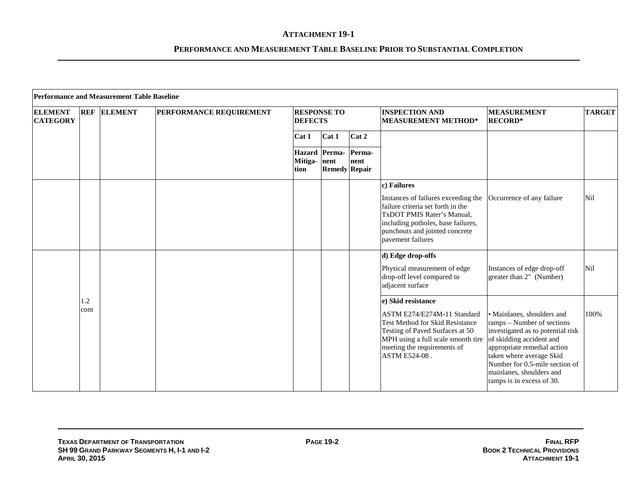|                                   |            | <b>Performance and Measurement Table Baseline</b> |                         |                                              |                      |                |                                                                                                                                                                                                     |                                                                                                                                                                                                                                                                                 |               |
|-----------------------------------|------------|---------------------------------------------------|-------------------------|----------------------------------------------|----------------------|----------------|-----------------------------------------------------------------------------------------------------------------------------------------------------------------------------------------------------|---------------------------------------------------------------------------------------------------------------------------------------------------------------------------------------------------------------------------------------------------------------------------------|---------------|
| <b>ELEMENT</b><br><b>CATEGORY</b> | <b>REF</b> | <b>ELEMENT</b>                                    | PERFORMANCE REQUIREMENT | <b>RESPONSE TO</b><br><b>DEFECTS</b>         |                      |                | <b>INSPECTION AND</b><br><b>MEASUREMENT METHOD*</b>                                                                                                                                                 | <b>MEASUREMENT</b><br><b>RECORD*</b>                                                                                                                                                                                                                                            | <b>TARGET</b> |
|                                   |            |                                                   |                         | Cat 1                                        | Cat 1                | Cat 2          |                                                                                                                                                                                                     |                                                                                                                                                                                                                                                                                 |               |
|                                   |            |                                                   |                         | <b>Hazard</b> Perma-<br>Mitiga- nent<br>tion | <b>Remedy Repair</b> | Perma-<br>nent |                                                                                                                                                                                                     |                                                                                                                                                                                                                                                                                 |               |
|                                   |            |                                                   |                         |                                              |                      |                | c) Failures                                                                                                                                                                                         |                                                                                                                                                                                                                                                                                 |               |
|                                   |            |                                                   |                         |                                              |                      |                | Instances of failures exceeding the<br>failure criteria set forth in the<br>TxDOT PMIS Rater's Manual,<br>including potholes, base failures,<br>punchouts and jointed concrete<br>pavement failures | Occurrence of any failure                                                                                                                                                                                                                                                       | Nil           |
|                                   |            |                                                   |                         |                                              |                      |                | d) Edge drop-offs<br>Physical measurement of edge<br>drop-off level compared to<br>adjacent surface                                                                                                 | Instances of edge drop-off<br>greater than 2" (Number)                                                                                                                                                                                                                          | Nil           |
|                                   | 1.2        |                                                   |                         |                                              |                      |                | e) Skid resistance                                                                                                                                                                                  |                                                                                                                                                                                                                                                                                 |               |
|                                   | cont       |                                                   |                         |                                              |                      |                | ASTM E274/E274M-11 Standard<br><b>Test Method for Skid Resistance</b><br>Testing of Paved Surfaces at 50<br>MPH using a full scale smooth tire<br>meeting the requirements of<br>ASTM E524-08.      | • Mainlanes, shoulders and<br>ramps – Number of sections<br>investigated as to potential risk<br>of skidding accident and<br>appropriate remedial action<br>taken where average Skid<br>Number for 0.5-mile section of<br>mainlanes, shoulders and<br>ramps is in excess of 30. | 100%          |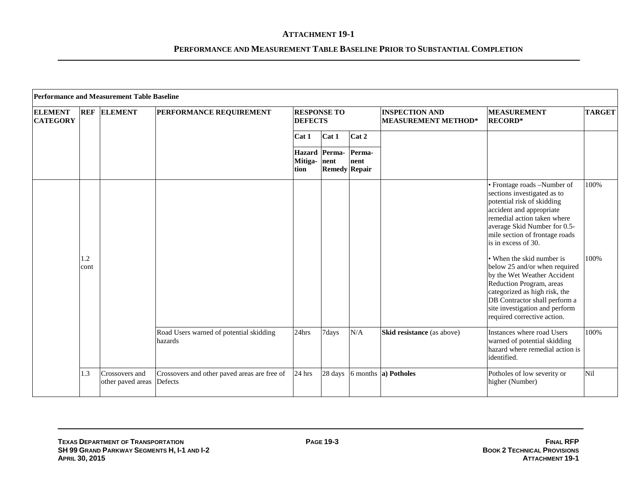|                                   |             | <b>Performance and Measurement Table Baseline</b> |                                                         |                                      |                                       |                |                                                     |                                                                                                                                                                                                                                                          |               |
|-----------------------------------|-------------|---------------------------------------------------|---------------------------------------------------------|--------------------------------------|---------------------------------------|----------------|-----------------------------------------------------|----------------------------------------------------------------------------------------------------------------------------------------------------------------------------------------------------------------------------------------------------------|---------------|
| <b>ELEMENT</b><br><b>CATEGORY</b> | <b>REF</b>  | <b>ELEMENT</b>                                    | PERFORMANCE REQUIREMENT                                 | <b>RESPONSE TO</b><br><b>DEFECTS</b> |                                       |                | <b>INSPECTION AND</b><br><b>MEASUREMENT METHOD*</b> | <b>MEASUREMENT</b><br><b>RECORD*</b>                                                                                                                                                                                                                     | <b>TARGET</b> |
|                                   |             |                                                   |                                                         | Cat 1                                | Cat 1                                 | Cat 2          |                                                     |                                                                                                                                                                                                                                                          |               |
|                                   |             |                                                   |                                                         | Mitiga- nent<br>tion                 | Hazard Perma-<br><b>Remedy Repair</b> | Perma-<br>nent |                                                     |                                                                                                                                                                                                                                                          |               |
|                                   |             |                                                   |                                                         |                                      |                                       |                |                                                     | · Frontage roads -Number of<br>sections investigated as to<br>potential risk of skidding<br>accident and appropriate<br>remedial action taken where<br>average Skid Number for 0.5-<br>mile section of frontage roads<br>is in excess of 30.             | 100%          |
|                                   | 1.2<br>cont |                                                   |                                                         |                                      |                                       |                |                                                     | • When the skid number is<br>below 25 and/or when required<br>by the Wet Weather Accident<br>Reduction Program, areas<br>categorized as high risk, the<br>DB Contractor shall perform a<br>site investigation and perform<br>required corrective action. | 100%          |
|                                   |             |                                                   | Road Users warned of potential skidding<br>hazards      | 24hrs                                | 7days                                 | N/A            | Skid resistance (as above)                          | Instances where road Users<br>warned of potential skidding<br>hazard where remedial action is<br>identified.                                                                                                                                             | 100%          |
|                                   | 1.3         | Crossovers and<br>other paved areas               | Crossovers and other paved areas are free of<br>Defects | 24 hrs                               | 28 days                               |                | 6 months <b>a</b> ) <b>Potholes</b>                 | Potholes of low severity or<br>higher (Number)                                                                                                                                                                                                           | Nil           |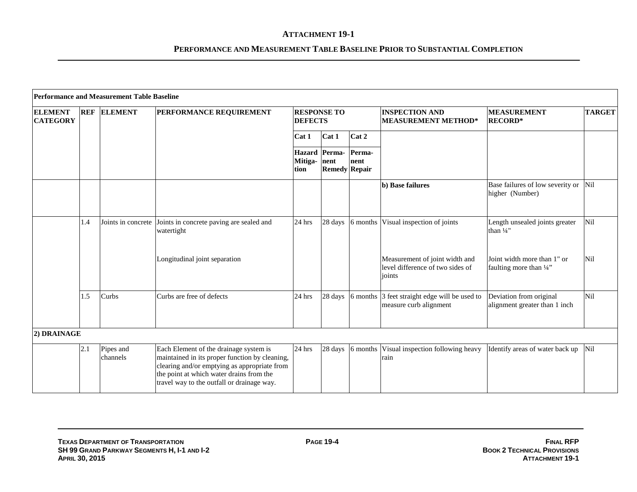|                                   |            | <b>Performance and Measurement Table Baseline</b> |                                                                                                                                                                                                                                    |                                      |                              |                |                                                                              |                                                          |               |
|-----------------------------------|------------|---------------------------------------------------|------------------------------------------------------------------------------------------------------------------------------------------------------------------------------------------------------------------------------------|--------------------------------------|------------------------------|----------------|------------------------------------------------------------------------------|----------------------------------------------------------|---------------|
| <b>ELEMENT</b><br><b>CATEGORY</b> | <b>REF</b> | <b>ELEMENT</b>                                    | PERFORMANCE REQUIREMENT                                                                                                                                                                                                            | <b>RESPONSE TO</b><br><b>DEFECTS</b> |                              |                | <b>INSPECTION AND</b><br><b>MEASUREMENT METHOD*</b>                          | <b>MEASUREMENT</b><br><b>RECORD*</b>                     | <b>TARGET</b> |
|                                   |            |                                                   |                                                                                                                                                                                                                                    | Cat 1                                | Cat 1                        | Cat 2          |                                                                              |                                                          |               |
|                                   |            |                                                   |                                                                                                                                                                                                                                    | Hazard Perma-<br>Mitiga-<br>tion     | nent<br><b>Remedy Repair</b> | Perma-<br>nent |                                                                              |                                                          |               |
|                                   |            |                                                   |                                                                                                                                                                                                                                    |                                      |                              |                | b) Base failures                                                             | Base failures of low severity or Nil<br>higher (Number)  |               |
|                                   | 1.4        |                                                   | Joints in concrete Joints in concrete paving are sealed and<br>watertight                                                                                                                                                          | $24$ hrs                             | 28 days                      |                | 6 months Visual inspection of joints                                         | Length unsealed joints greater<br>than $\frac{1}{4}$ "   | Nil           |
|                                   |            |                                                   | Longitudinal joint separation                                                                                                                                                                                                      |                                      |                              |                | Measurement of joint width and<br>level difference of two sides of<br>joints | Joint width more than 1" or<br>faulting more than 1/4"   | Nil           |
|                                   | 1.5        | Curbs                                             | Curbs are free of defects                                                                                                                                                                                                          | 24 hrs                               | 28 days                      |                | 6 months 3 feet straight edge will be used to<br>measure curb alignment      | Deviation from original<br>alignment greater than 1 inch | Nil           |
| 2) DRAINAGE                       |            |                                                   |                                                                                                                                                                                                                                    |                                      |                              |                |                                                                              |                                                          |               |
|                                   | 2.1        | Pipes and<br>channels                             | Each Element of the drainage system is<br>maintained in its proper function by cleaning,<br>clearing and/or emptying as appropriate from<br>the point at which water drains from the<br>travel way to the outfall or drainage way. | 24 hrs                               | 28 days                      | 6 months       | Visual inspection following heavy<br>rain                                    | Identify areas of water back up                          | Nil           |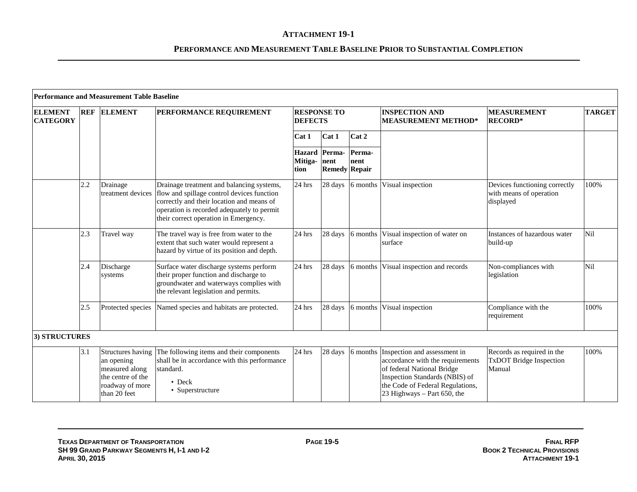|                                   |            | <b>Performance and Measurement Table Baseline</b>                                                         |                                                                                                                                                                                                                                               |                                         |         |                                        |                                                                                                                                                                                                     |                                                                        |               |
|-----------------------------------|------------|-----------------------------------------------------------------------------------------------------------|-----------------------------------------------------------------------------------------------------------------------------------------------------------------------------------------------------------------------------------------------|-----------------------------------------|---------|----------------------------------------|-----------------------------------------------------------------------------------------------------------------------------------------------------------------------------------------------------|------------------------------------------------------------------------|---------------|
| <b>ELEMENT</b><br><b>CATEGORY</b> | <b>REF</b> | <b>ELEMENT</b>                                                                                            | <b>PERFORMANCE REQUIREMENT</b>                                                                                                                                                                                                                | <b>RESPONSE TO</b><br><b>DEFECTS</b>    |         |                                        | <b>INSPECTION AND</b><br><b>MEASUREMENT METHOD*</b>                                                                                                                                                 | <b>MEASUREMENT</b><br><b>RECORD*</b>                                   | <b>TARGET</b> |
|                                   |            |                                                                                                           |                                                                                                                                                                                                                                               | Cat 1                                   | Cat 1   | Cat 2                                  |                                                                                                                                                                                                     |                                                                        |               |
|                                   |            |                                                                                                           |                                                                                                                                                                                                                                               | <b>Hazard</b> Perma-<br>Mitiga-<br>tion | nent    | Perma-<br>nent<br><b>Remedy Repair</b> |                                                                                                                                                                                                     |                                                                        |               |
|                                   | 2.2        | Drainage                                                                                                  | Drainage treatment and balancing systems,<br>treatment devices flow and spillage control devices function<br>correctly and their location and means of<br>operation is recorded adequately to permit<br>their correct operation in Emergency. | 24 hrs                                  | 28 days | 6 months                               | Visual inspection                                                                                                                                                                                   | Devices functioning correctly<br>with means of operation<br>displayed  | 100%          |
|                                   | 2.3        | Travel way                                                                                                | The travel way is free from water to the<br>extent that such water would represent a<br>hazard by virtue of its position and depth.                                                                                                           | 24 hrs                                  | 28 days | 6 months                               | Visual inspection of water on<br>surface                                                                                                                                                            | Instances of hazardous water<br>build-up                               | Nil           |
|                                   | 2.4        | Discharge<br>systems                                                                                      | Surface water discharge systems perform<br>their proper function and discharge to<br>groundwater and waterways complies with<br>the relevant legislation and permits.                                                                         | 24 hrs                                  | 28 days | 6 months                               | Visual inspection and records                                                                                                                                                                       | Non-compliances with<br>legislation                                    | Nil           |
|                                   | 2.5        | Protected species                                                                                         | Named species and habitats are protected.                                                                                                                                                                                                     | 24 hrs                                  | 28 days | 6 months                               | Visual inspection                                                                                                                                                                                   | Compliance with the<br>requirement                                     | 100%          |
| 3) STRUCTURES                     |            |                                                                                                           |                                                                                                                                                                                                                                               |                                         |         |                                        |                                                                                                                                                                                                     |                                                                        |               |
|                                   | 3.1        | Structures having<br>an opening<br>measured along<br>the centre of the<br>roadway of more<br>than 20 feet | The following items and their components<br>shall be in accordance with this performance<br>standard.<br>$\bullet$ Deck<br>• Superstructure                                                                                                   | $24$ hrs                                | 28 days | 6 months                               | Inspection and assessment in<br>accordance with the requirements<br>of federal National Bridge<br>Inspection Standards (NBIS) of<br>the Code of Federal Regulations,<br>23 Highways - Part 650, the | Records as required in the<br><b>TxDOT Bridge Inspection</b><br>Manual | 100%          |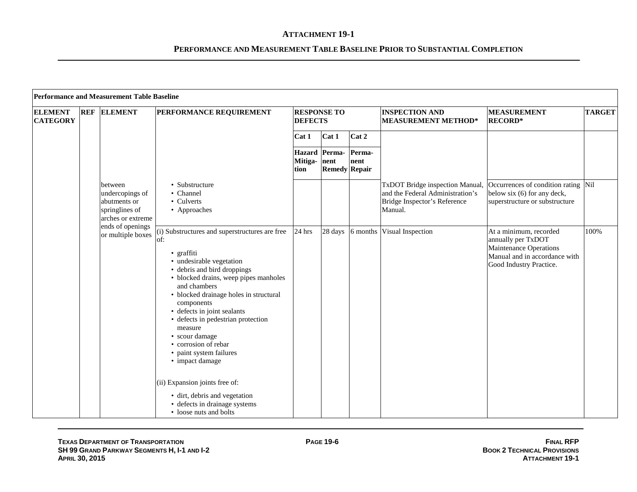|                                   | Performance and Measurement Table Baseline |                                                                                   |                                                                                                                                                                                                                                                                                                                                                                                                                         |                                      |                                               |                |                                                                                                                |                                                                                                                                    |               |  |  |  |
|-----------------------------------|--------------------------------------------|-----------------------------------------------------------------------------------|-------------------------------------------------------------------------------------------------------------------------------------------------------------------------------------------------------------------------------------------------------------------------------------------------------------------------------------------------------------------------------------------------------------------------|--------------------------------------|-----------------------------------------------|----------------|----------------------------------------------------------------------------------------------------------------|------------------------------------------------------------------------------------------------------------------------------------|---------------|--|--|--|
| <b>ELEMENT</b><br><b>CATEGORY</b> | <b>REF</b>                                 | <b>ELEMENT</b>                                                                    | PERFORMANCE REQUIREMENT                                                                                                                                                                                                                                                                                                                                                                                                 | <b>RESPONSE TO</b><br><b>DEFECTS</b> |                                               |                | <b>INSPECTION AND</b><br><b>MEASUREMENT METHOD*</b>                                                            | <b>MEASUREMENT</b><br><b>RECORD*</b>                                                                                               | <b>TARGET</b> |  |  |  |
|                                   |                                            |                                                                                   |                                                                                                                                                                                                                                                                                                                                                                                                                         | Cat 1                                | Cat 1                                         | Cat 2          |                                                                                                                |                                                                                                                                    |               |  |  |  |
|                                   |                                            |                                                                                   |                                                                                                                                                                                                                                                                                                                                                                                                                         | Mitiga-<br>tion                      | Hazard Perma-<br>nent<br><b>Remedy Repair</b> | Perma-<br>nent |                                                                                                                |                                                                                                                                    |               |  |  |  |
|                                   |                                            | between<br>undercopings of<br>abutments or<br>springlines of<br>arches or extreme | • Substructure<br>• Channel<br>• Culverts<br>• Approaches                                                                                                                                                                                                                                                                                                                                                               |                                      |                                               |                | TxDOT Bridge inspection Manual,<br>and the Federal Administration's<br>Bridge Inspector's Reference<br>Manual. | Occurrences of condition rating Nil<br>below six (6) for any deck,<br>superstructure or substructure                               |               |  |  |  |
|                                   |                                            | ends of openings<br>or multiple boxes                                             | (i) Substructures and superstructures are free<br>of:<br>• graffiti<br>· undesirable vegetation<br>• debris and bird droppings<br>• blocked drains, weep pipes manholes<br>and chambers<br>• blocked drainage holes in structural<br>components<br>• defects in joint sealants<br>• defects in pedestrian protection<br>measure<br>• scour damage<br>• corrosion of rebar<br>• paint system failures<br>• impact damage | 24 hrs                               | 28 days                                       | 6 months       | Visual Inspection                                                                                              | At a minimum, recorded<br>annually per TxDOT<br>Maintenance Operations<br>Manual and in accordance with<br>Good Industry Practice. | 100%          |  |  |  |
|                                   |                                            |                                                                                   | (ii) Expansion joints free of:<br>· dirt, debris and vegetation<br>• defects in drainage systems<br>• loose nuts and bolts                                                                                                                                                                                                                                                                                              |                                      |                                               |                |                                                                                                                |                                                                                                                                    |               |  |  |  |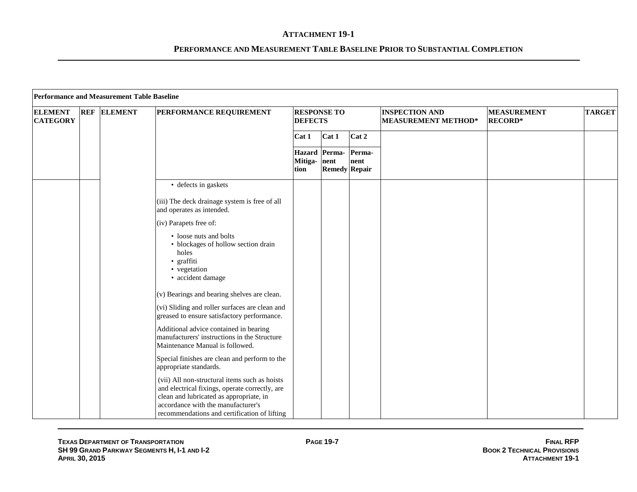|                                   | Performance and Measurement Table Baseline |                    |                                                                                                                                                                                                                                  |                      |                                       |                |                                                     |                                      |               |  |
|-----------------------------------|--------------------------------------------|--------------------|----------------------------------------------------------------------------------------------------------------------------------------------------------------------------------------------------------------------------------|----------------------|---------------------------------------|----------------|-----------------------------------------------------|--------------------------------------|---------------|--|
| <b>ELEMENT</b><br><b>CATEGORY</b> |                                            | <b>REF ELEMENT</b> | PERFORMANCE REQUIREMENT                                                                                                                                                                                                          | <b>DEFECTS</b>       | <b>RESPONSE TO</b>                    |                | <b>INSPECTION AND</b><br><b>MEASUREMENT METHOD*</b> | <b>MEASUREMENT</b><br><b>RECORD*</b> | <b>TARGET</b> |  |
|                                   |                                            |                    |                                                                                                                                                                                                                                  | Cat 1                | Cat 1                                 | Cat 2          |                                                     |                                      |               |  |
|                                   |                                            |                    |                                                                                                                                                                                                                                  | Mitiga- nent<br>tion | Hazard Perma-<br><b>Remedy Repair</b> | Perma-<br>nent |                                                     |                                      |               |  |
|                                   |                                            |                    | • defects in gaskets                                                                                                                                                                                                             |                      |                                       |                |                                                     |                                      |               |  |
|                                   |                                            |                    | (iii) The deck drainage system is free of all<br>and operates as intended.                                                                                                                                                       |                      |                                       |                |                                                     |                                      |               |  |
|                                   |                                            |                    | (iv) Parapets free of:                                                                                                                                                                                                           |                      |                                       |                |                                                     |                                      |               |  |
|                                   |                                            |                    | • loose nuts and bolts<br>• blockages of hollow section drain<br>holes<br>· graffiti<br>• vegetation<br>· accident damage                                                                                                        |                      |                                       |                |                                                     |                                      |               |  |
|                                   |                                            |                    | (v) Bearings and bearing shelves are clean.                                                                                                                                                                                      |                      |                                       |                |                                                     |                                      |               |  |
|                                   |                                            |                    | (vi) Sliding and roller surfaces are clean and<br>greased to ensure satisfactory performance.                                                                                                                                    |                      |                                       |                |                                                     |                                      |               |  |
|                                   |                                            |                    | Additional advice contained in bearing<br>manufacturers' instructions in the Structure<br>Maintenance Manual is followed.                                                                                                        |                      |                                       |                |                                                     |                                      |               |  |
|                                   |                                            |                    | Special finishes are clean and perform to the<br>appropriate standards.                                                                                                                                                          |                      |                                       |                |                                                     |                                      |               |  |
|                                   |                                            |                    | (vii) All non-structural items such as hoists<br>and electrical fixings, operate correctly, are<br>clean and lubricated as appropriate, in<br>accordance with the manufacturer's<br>recommendations and certification of lifting |                      |                                       |                |                                                     |                                      |               |  |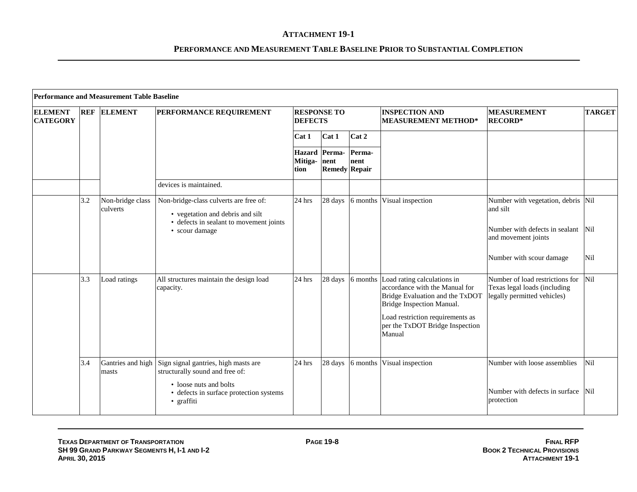|                                   |     | <b>Performance and Measurement Table Baseline</b> |                                                                                                                                         |                                       |                      |                |                                                                                                                               |                                                                                                |               |
|-----------------------------------|-----|---------------------------------------------------|-----------------------------------------------------------------------------------------------------------------------------------------|---------------------------------------|----------------------|----------------|-------------------------------------------------------------------------------------------------------------------------------|------------------------------------------------------------------------------------------------|---------------|
| <b>ELEMENT</b><br><b>CATEGORY</b> |     | <b>REF ELEMENT</b>                                | PERFORMANCE REQUIREMENT                                                                                                                 | <b>RESPONSE TO</b><br><b>DEFECTS</b>  |                      |                | <b>INSPECTION AND</b><br><b>MEASUREMENT METHOD*</b>                                                                           | <b>MEASUREMENT</b><br><b>RECORD*</b>                                                           | <b>TARGET</b> |
|                                   |     |                                                   |                                                                                                                                         | Cat 1                                 | Cat 1                | Cat 2          |                                                                                                                               |                                                                                                |               |
|                                   |     |                                                   |                                                                                                                                         | Hazard Perma-<br>Mitiga- nent<br>tion | <b>Remedy Repair</b> | Perma-<br>nent |                                                                                                                               |                                                                                                |               |
|                                   |     |                                                   | devices is maintained.                                                                                                                  |                                       |                      |                |                                                                                                                               |                                                                                                |               |
|                                   | 3.2 | Non-bridge class<br>culverts                      | Non-bridge-class culverts are free of:<br>• vegetation and debris and silt<br>• defects in sealant to movement joints<br>• scour damage | 24 hrs                                | 28 days              | 6 months       | Visual inspection                                                                                                             | Number with vegetation, debris Nil<br>and silt<br>Number with defects in sealant               | <b>Nil</b>    |
|                                   |     |                                                   |                                                                                                                                         |                                       |                      |                |                                                                                                                               | and movement joints                                                                            |               |
|                                   |     |                                                   |                                                                                                                                         |                                       |                      |                |                                                                                                                               | Number with scour damage                                                                       | Nil           |
|                                   | 3.3 | Load ratings                                      | All structures maintain the design load<br>capacity.                                                                                    | 24 hrs                                | 28 days              | 6 months       | Load rating calculations in<br>accordance with the Manual for<br>Bridge Evaluation and the TxDOT<br>Bridge Inspection Manual. | Number of load restrictions for<br>Texas legal loads (including<br>legally permitted vehicles) | Nil           |
|                                   |     |                                                   |                                                                                                                                         |                                       |                      |                | Load restriction requirements as<br>per the TxDOT Bridge Inspection<br>Manual                                                 |                                                                                                |               |
|                                   | 3.4 | Gantries and high<br>masts                        | Sign signal gantries, high masts are<br>structurally sound and free of:                                                                 | 24 hrs                                | 28 days              | 6 months       | Visual inspection                                                                                                             | Number with loose assemblies                                                                   | Nil           |
|                                   |     |                                                   | • loose nuts and bolts<br>• defects in surface protection systems<br>• graffiti                                                         |                                       |                      |                |                                                                                                                               | Number with defects in surface<br>protection                                                   | Nil           |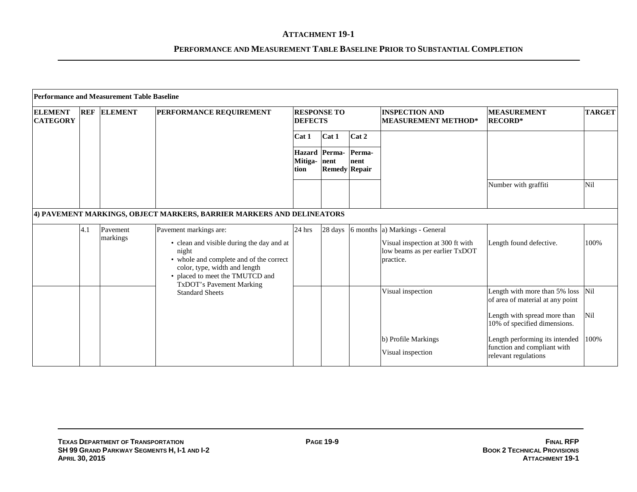|                                   |            | <b>Performance and Measurement Table Baseline</b> |                                                                                                                                                                                                                         |                 |                                               |                |                                                                                                                   |                                                                                       |               |
|-----------------------------------|------------|---------------------------------------------------|-------------------------------------------------------------------------------------------------------------------------------------------------------------------------------------------------------------------------|-----------------|-----------------------------------------------|----------------|-------------------------------------------------------------------------------------------------------------------|---------------------------------------------------------------------------------------|---------------|
| <b>ELEMENT</b><br><b>CATEGORY</b> | <b>REF</b> | <b>ELEMENT</b>                                    | <b>PERFORMANCE REQUIREMENT</b>                                                                                                                                                                                          | <b>DEFECTS</b>  | <b>RESPONSE TO</b>                            |                | <b>INSPECTION AND</b><br><b>MEASUREMENT METHOD*</b>                                                               | <b>MEASUREMENT</b><br><b>RECORD*</b>                                                  | <b>TARGET</b> |
|                                   |            |                                                   |                                                                                                                                                                                                                         | Cat 1           | Cat 1                                         | Cat 2          |                                                                                                                   |                                                                                       |               |
|                                   |            |                                                   |                                                                                                                                                                                                                         | Mitiga-<br>tion | Hazard Perma-<br>nent<br><b>Remedy Repair</b> | Perma-<br>nent |                                                                                                                   |                                                                                       |               |
|                                   |            |                                                   |                                                                                                                                                                                                                         |                 |                                               |                |                                                                                                                   | Number with graffiti                                                                  | Nil           |
|                                   |            |                                                   | 4) PAVEMENT MARKINGS, OBJECT MARKERS, BARRIER MARKERS AND DELINEATORS                                                                                                                                                   |                 |                                               |                |                                                                                                                   |                                                                                       |               |
|                                   | 4.1        | Payement<br>markings                              | Pavement markings are:<br>• clean and visible during the day and at<br>night<br>• whole and complete and of the correct<br>color, type, width and length<br>• placed to meet the TMUTCD and<br>TxDOT's Pavement Marking | 24 hrs          | 28 days                                       |                | 6 months a) Markings - General<br>Visual inspection at 300 ft with<br>low beams as per earlier TxDOT<br>practice. | Length found defective.                                                               | 100%          |
|                                   |            |                                                   | <b>Standard Sheets</b>                                                                                                                                                                                                  |                 |                                               |                | Visual inspection                                                                                                 | Length with more than 5% loss<br>of area of material at any point                     | Nil           |
|                                   |            |                                                   |                                                                                                                                                                                                                         |                 |                                               |                |                                                                                                                   | Length with spread more than<br>10% of specified dimensions.                          | Nil           |
|                                   |            |                                                   |                                                                                                                                                                                                                         |                 |                                               |                | b) Profile Markings<br>Visual inspection                                                                          | Length performing its intended<br>function and compliant with<br>relevant regulations | 100%          |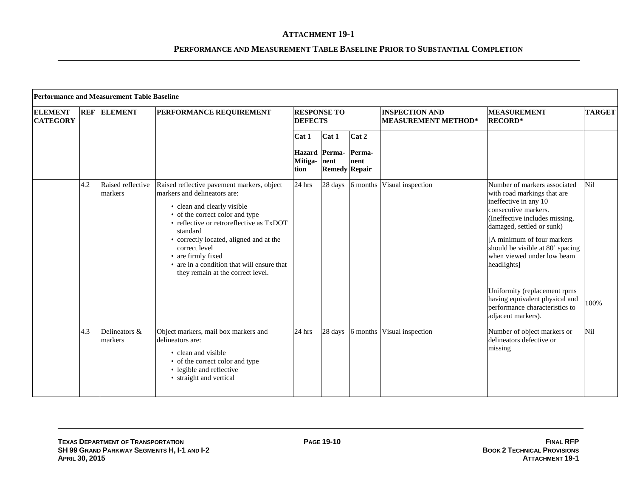|                                   | <b>Performance and Measurement Table Baseline</b> |                              |                                                                                                                                                                                                                                                                                                                                                                           |                                      |                                              |                  |                                                     |                                                                                                                                                                                                                                                                                                                                                                                                                       |               |  |  |  |
|-----------------------------------|---------------------------------------------------|------------------------------|---------------------------------------------------------------------------------------------------------------------------------------------------------------------------------------------------------------------------------------------------------------------------------------------------------------------------------------------------------------------------|--------------------------------------|----------------------------------------------|------------------|-----------------------------------------------------|-----------------------------------------------------------------------------------------------------------------------------------------------------------------------------------------------------------------------------------------------------------------------------------------------------------------------------------------------------------------------------------------------------------------------|---------------|--|--|--|
| <b>ELEMENT</b><br><b>CATEGORY</b> | <b>REF</b>                                        | <b>ELEMENT</b>               | PERFORMANCE REQUIREMENT                                                                                                                                                                                                                                                                                                                                                   | <b>RESPONSE TO</b><br><b>DEFECTS</b> |                                              |                  | <b>INSPECTION AND</b><br><b>MEASUREMENT METHOD*</b> | <b>MEASUREMENT</b><br><b>RECORD*</b>                                                                                                                                                                                                                                                                                                                                                                                  | <b>TARGET</b> |  |  |  |
|                                   |                                                   |                              |                                                                                                                                                                                                                                                                                                                                                                           | Cat 1                                | Cat 1                                        | Cat 2            |                                                     |                                                                                                                                                                                                                                                                                                                                                                                                                       |               |  |  |  |
|                                   |                                                   |                              |                                                                                                                                                                                                                                                                                                                                                                           | Mitiga- nent<br>tion                 | <b>Hazard</b> Perma-<br><b>Remedy Repair</b> | Perma-<br>nent   |                                                     |                                                                                                                                                                                                                                                                                                                                                                                                                       |               |  |  |  |
|                                   | 4.2                                               | Raised reflective<br>markers | Raised reflective pavement markers, object<br>markers and delineators are:<br>• clean and clearly visible<br>• of the correct color and type<br>• reflective or retroreflective as TxDOT<br>standard<br>• correctly located, aligned and at the<br>correct level<br>• are firmly fixed<br>• are in a condition that will ensure that<br>they remain at the correct level. | $24$ hrs                             |                                              | 28 days 6 months | Visual inspection                                   | Number of markers associated<br>with road markings that are<br>ineffective in any 10<br>consecutive markers.<br>(Ineffective includes missing,<br>damaged, settled or sunk)<br>[A minimum of four markers]<br>should be visible at 80' spacing<br>when viewed under low beam<br>headlights]<br>Uniformity (replacement rpms<br>having equivalent physical and<br>performance characteristics to<br>adjacent markers). | Nil<br>100%   |  |  |  |
|                                   | 4.3                                               | Delineators &<br>markers     | Object markers, mail box markers and<br>delineators are:<br>• clean and visible<br>• of the correct color and type<br>• legible and reflective<br>• straight and vertical                                                                                                                                                                                                 | 24 hrs                               | 28 days                                      | 6 months         | Visual inspection                                   | Number of object markers or<br>delineators defective or<br>missing                                                                                                                                                                                                                                                                                                                                                    | Nil           |  |  |  |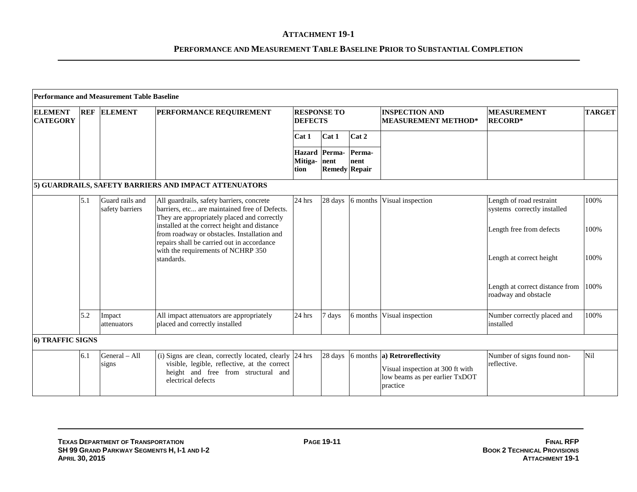|                                   |            | <b>Performance and Measurement Table Baseline</b> |                                                                                                                                                                     |                                      |                                       |                |                                                                                                                                 |                                                         |               |
|-----------------------------------|------------|---------------------------------------------------|---------------------------------------------------------------------------------------------------------------------------------------------------------------------|--------------------------------------|---------------------------------------|----------------|---------------------------------------------------------------------------------------------------------------------------------|---------------------------------------------------------|---------------|
| <b>ELEMENT</b><br><b>CATEGORY</b> | <b>REF</b> | <b>ELEMENT</b>                                    | PERFORMANCE REQUIREMENT                                                                                                                                             | <b>RESPONSE TO</b><br><b>DEFECTS</b> |                                       |                | <b>INSPECTION AND</b><br><b>MEASUREMENT METHOD*</b>                                                                             | <b>MEASUREMENT</b><br><b>RECORD*</b>                    | <b>TARGET</b> |
|                                   |            |                                                   |                                                                                                                                                                     | Cat 1                                | Cat 1                                 | Cat 2          |                                                                                                                                 |                                                         |               |
|                                   |            |                                                   |                                                                                                                                                                     | Mitiga-nent<br>tion                  | Hazard Perma-<br><b>Remedy Repair</b> | Perma-<br>nent |                                                                                                                                 |                                                         |               |
|                                   |            |                                                   | 5) GUARDRAILS, SAFETY BARRIERS AND IMPACT ATTENUATORS                                                                                                               |                                      |                                       |                |                                                                                                                                 |                                                         |               |
|                                   | 5.1        | Guard rails and<br>safety barriers                | All guardrails, safety barriers, concrete<br>barriers, etc are maintained free of Defects.<br>They are appropriately placed and correctly                           | 24 hrs                               | 28 days                               | 6 months       | Visual inspection                                                                                                               | Length of road restraint<br>systems correctly installed | 100%          |
|                                   |            |                                                   | installed at the correct height and distance<br>from roadway or obstacles. Installation and<br>repairs shall be carried out in accordance                           |                                      |                                       |                |                                                                                                                                 | Length free from defects                                | 100%          |
|                                   |            |                                                   | with the requirements of NCHRP 350<br>standards.                                                                                                                    |                                      |                                       |                |                                                                                                                                 | Length at correct height                                | 100%          |
|                                   |            |                                                   |                                                                                                                                                                     |                                      |                                       |                |                                                                                                                                 | Length at correct distance from<br>roadway and obstacle | 100%          |
|                                   | 5.2        | Impact<br>attenuators                             | All impact attenuators are appropriately<br>placed and correctly installed                                                                                          | 24 hrs                               | 7 days                                | 6 months       | Visual inspection                                                                                                               | Number correctly placed and<br>installed                | 100%          |
| <b>6) TRAFFIC SIGNS</b>           |            |                                                   |                                                                                                                                                                     |                                      |                                       |                |                                                                                                                                 |                                                         |               |
|                                   | 6.1        | General - All<br>signs                            | (i) Signs are clean, correctly located, clearly 24 hrs<br>visible, legible, reflective, at the correct<br>height and free from structural and<br>electrical defects |                                      | 28 days                               |                | $\vert$ 6 months $\vert$ a) Retroreflectivity<br>Visual inspection at 300 ft with<br>low beams as per earlier TxDOT<br>practice | Number of signs found non-<br>reflective.               | Nil           |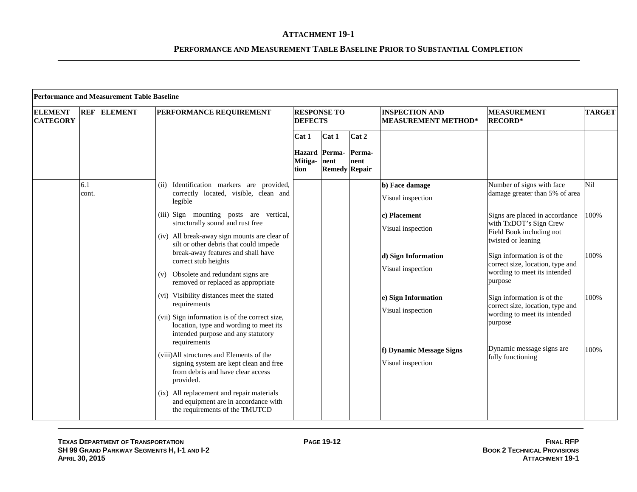|                                   |              | <b>Performance and Measurement Table Baseline</b> |                                                                                                                                                                                                             |                      |                                       |                |                                                          |                                                                                                                                          |               |
|-----------------------------------|--------------|---------------------------------------------------|-------------------------------------------------------------------------------------------------------------------------------------------------------------------------------------------------------------|----------------------|---------------------------------------|----------------|----------------------------------------------------------|------------------------------------------------------------------------------------------------------------------------------------------|---------------|
| <b>ELEMENT</b><br><b>CATEGORY</b> | <b>REF</b>   | <b>ELEMENT</b>                                    | PERFORMANCE REQUIREMENT                                                                                                                                                                                     | <b>DEFECTS</b>       | <b>RESPONSE TO</b>                    |                | <b>INSPECTION AND</b><br><b>MEASUREMENT METHOD*</b>      | <b>MEASUREMENT</b><br><b>RECORD*</b>                                                                                                     | <b>TARGET</b> |
|                                   |              |                                                   |                                                                                                                                                                                                             | Cat 1                | Cat 1                                 | Cat 2          |                                                          |                                                                                                                                          |               |
|                                   |              |                                                   |                                                                                                                                                                                                             | Mitiga- nent<br>tion | Hazard Perma-<br><b>Remedy Repair</b> | Perma-<br>nent |                                                          |                                                                                                                                          |               |
|                                   | 6.1<br>cont. |                                                   | Identification markers are provided,<br>(ii)<br>correctly located, visible, clean and<br>legible                                                                                                            |                      |                                       |                | b) Face damage<br>Visual inspection                      | Number of signs with face<br>damage greater than 5% of area                                                                              | Nil           |
|                                   |              |                                                   | (iii) Sign mounting posts are vertical,<br>structurally sound and rust free<br>(iv) All break-away sign mounts are clear of<br>silt or other debris that could impede<br>break-away features and shall have |                      |                                       |                | c) Placement<br>Visual inspection<br>d) Sign Information | Signs are placed in accordance<br>with TxDOT's Sign Crew<br>Field Book including not<br>twisted or leaning<br>Sign information is of the | 100%<br>100%  |
|                                   |              |                                                   | correct stub heights<br>Obsolete and redundant signs are<br>(v)<br>removed or replaced as appropriate                                                                                                       |                      |                                       |                | Visual inspection                                        | correct size, location, type and<br>wording to meet its intended<br>purpose                                                              |               |
|                                   |              |                                                   | (vi) Visibility distances meet the stated<br>requirements<br>(vii) Sign information is of the correct size,<br>location, type and wording to meet its<br>intended purpose and any statutory<br>requirements |                      |                                       |                | e) Sign Information<br>Visual inspection                 | Sign information is of the<br>correct size, location, type and<br>wording to meet its intended<br>purpose                                | 100%          |
|                                   |              |                                                   | (viii) All structures and Elements of the<br>signing system are kept clean and free<br>from debris and have clear access<br>provided.                                                                       |                      |                                       |                | f) Dynamic Message Signs<br>Visual inspection            | Dynamic message signs are<br>fully functioning                                                                                           | 100%          |
|                                   |              |                                                   | (ix) All replacement and repair materials<br>and equipment are in accordance with<br>the requirements of the TMUTCD                                                                                         |                      |                                       |                |                                                          |                                                                                                                                          |               |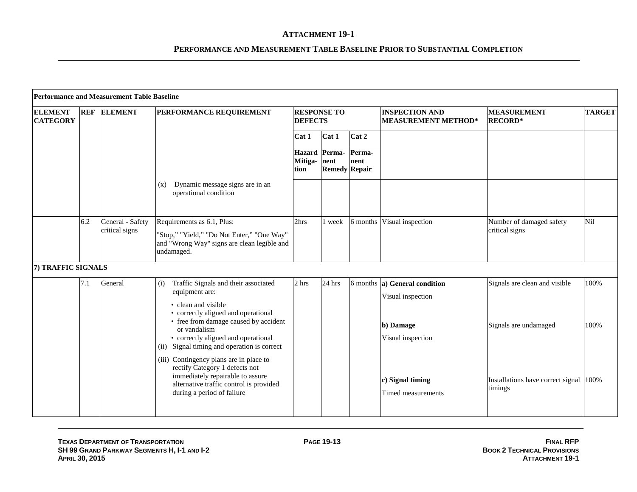|                                   |            | <b>Performance and Measurement Table Baseline</b> |                                                                                                                                                                                                                                                                            |                                      |                                               |                |                                                                                      |                                                        |               |
|-----------------------------------|------------|---------------------------------------------------|----------------------------------------------------------------------------------------------------------------------------------------------------------------------------------------------------------------------------------------------------------------------------|--------------------------------------|-----------------------------------------------|----------------|--------------------------------------------------------------------------------------|--------------------------------------------------------|---------------|
| <b>ELEMENT</b><br><b>CATEGORY</b> | <b>REF</b> | <b>ELEMENT</b>                                    | <b>PERFORMANCE REQUIREMENT</b>                                                                                                                                                                                                                                             | <b>RESPONSE TO</b><br><b>DEFECTS</b> |                                               |                | <b>INSPECTION AND</b><br><b>MEASUREMENT METHOD*</b>                                  | <b>MEASUREMENT</b><br><b>RECORD*</b>                   | <b>TARGET</b> |
|                                   |            |                                                   |                                                                                                                                                                                                                                                                            | Cat 1                                | Cat 1                                         | Cat 2          |                                                                                      |                                                        |               |
|                                   |            |                                                   |                                                                                                                                                                                                                                                                            | Mitiga-<br>tion                      | Hazard Perma-<br>nent<br><b>Remedy Repair</b> | Perma-<br>nent |                                                                                      |                                                        |               |
|                                   |            |                                                   | Dynamic message signs are in an<br>(x)<br>operational condition                                                                                                                                                                                                            |                                      |                                               |                |                                                                                      |                                                        |               |
|                                   | 6.2        | General - Safety<br>critical signs                | Requirements as 6.1, Plus:<br>"Stop," "Yield," "Do Not Enter," "One Way"<br>and "Wrong Way" signs are clean legible and<br>undamaged.                                                                                                                                      | 2hrs                                 | 1 week                                        | 6 months       | Visual inspection                                                                    | Number of damaged safety<br>critical signs             | Nil           |
| 7) TRAFFIC SIGNALS                |            |                                                   |                                                                                                                                                                                                                                                                            |                                      |                                               |                |                                                                                      |                                                        |               |
|                                   | 7.1        | General                                           | Traffic Signals and their associated<br>(i)<br>equipment are:<br>• clean and visible<br>• correctly aligned and operational<br>• free from damage caused by accident<br>or vandalism<br>• correctly aligned and operational<br>(ii) Signal timing and operation is correct | 2 hrs                                | 24 hrs                                        |                | 6 months a) General condition<br>Visual inspection<br>b) Damage<br>Visual inspection | Signals are clean and visible<br>Signals are undamaged | 100%<br>100%  |
|                                   |            |                                                   | (iii) Contingency plans are in place to<br>rectify Category 1 defects not<br>immediately repairable to assure<br>alternative traffic control is provided<br>during a period of failure                                                                                     |                                      |                                               |                | c) Signal timing<br>Timed measurements                                               | Installations have correct signal 100%<br>timings      |               |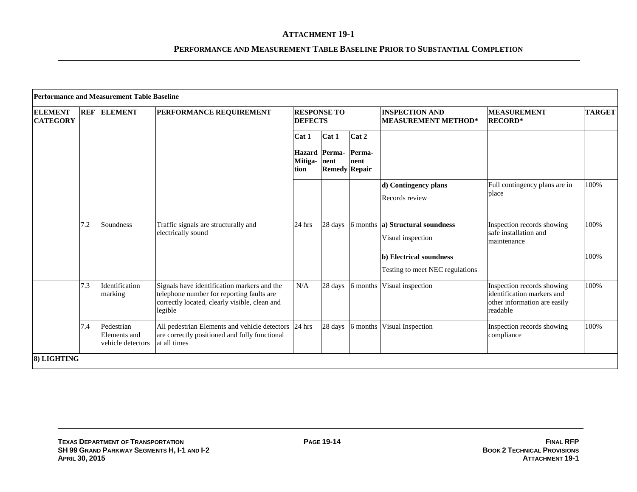| <b>ELEMENT</b><br><b>CATEGORY</b> | <b>REF</b> | <b>ELEMENT</b>                                  | PERFORMANCE REQUIREMENT                                                                                                                              | <b>RESPONSE TO</b><br><b>DEFECTS</b>                                                      |         |          | <b>INSPECTION AND</b><br><b>MEASUREMENT METHOD*</b>        | <b>MEASUREMENT</b><br><b>RECORD*</b>                                                                 | <b>TARGET</b> |
|-----------------------------------|------------|-------------------------------------------------|------------------------------------------------------------------------------------------------------------------------------------------------------|-------------------------------------------------------------------------------------------|---------|----------|------------------------------------------------------------|------------------------------------------------------------------------------------------------------|---------------|
|                                   |            |                                                 |                                                                                                                                                      | Cat 1                                                                                     | Cat 1   | Cat 2    |                                                            |                                                                                                      |               |
|                                   |            |                                                 |                                                                                                                                                      | Perma-<br><b>Hazard</b> Perma-<br>Mitiga-<br>nent<br>nent<br><b>Remedy Repair</b><br>tion |         |          |                                                            |                                                                                                      |               |
|                                   |            |                                                 |                                                                                                                                                      |                                                                                           |         |          | d) Contingency plans<br>Records review                     | Full contingency plans are in<br>place                                                               | 100%          |
|                                   | 7.2        | Soundness                                       | Traffic signals are structurally and<br>electrically sound                                                                                           | 24 hrs                                                                                    | 28 days |          | 6 months a) Structural soundness<br>Visual inspection      | Inspection records showing<br>safe installation and<br>maintenance                                   | 100%          |
|                                   |            |                                                 |                                                                                                                                                      |                                                                                           |         |          | b) Electrical soundness<br>Testing to meet NEC regulations |                                                                                                      | 100%          |
|                                   | 7.3        | Identification<br>marking                       | Signals have identification markers and the<br>telephone number for reporting faults are<br>correctly located, clearly visible, clean and<br>legible | N/A                                                                                       | 28 days | 6 months | Visual inspection                                          | Inspection records showing<br>identification markers and<br>other information are easily<br>readable | 100%          |
|                                   | 7.4        | Pedestrian<br>Elements and<br>vehicle detectors | All pedestrian Elements and vehicle detectors 24 hrs<br>are correctly positioned and fully functional<br>at all times                                |                                                                                           | 28 days | 6 months | Visual Inspection                                          | Inspection records showing<br>compliance                                                             | 100%          |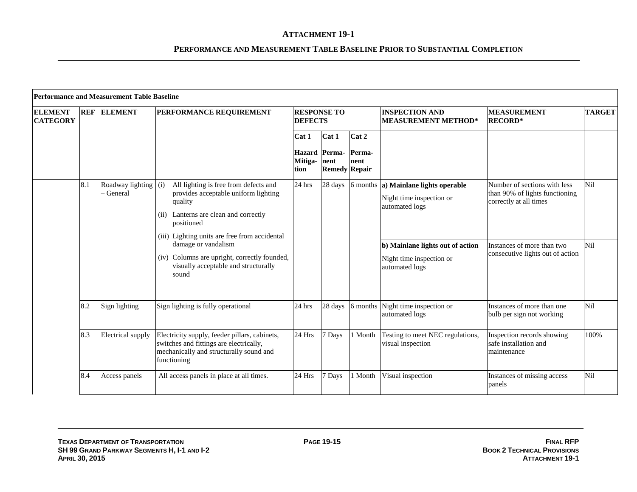|                                   | <b>Performance and Measurement Table Baseline</b> |                                 |                                                                                                                                                                       |                                      |                                               |                |                                                                                    |                                                                                          |               |  |
|-----------------------------------|---------------------------------------------------|---------------------------------|-----------------------------------------------------------------------------------------------------------------------------------------------------------------------|--------------------------------------|-----------------------------------------------|----------------|------------------------------------------------------------------------------------|------------------------------------------------------------------------------------------|---------------|--|
| <b>ELEMENT</b><br><b>CATEGORY</b> | <b>REF</b>                                        | <b>ELEMENT</b>                  | PERFORMANCE REQUIREMENT                                                                                                                                               | <b>RESPONSE TO</b><br><b>DEFECTS</b> |                                               |                | <b>INSPECTION AND</b><br><b>MEASUREMENT METHOD*</b>                                | <b>MEASUREMENT</b><br><b>RECORD*</b>                                                     | <b>TARGET</b> |  |
|                                   |                                                   |                                 |                                                                                                                                                                       | Cat 1                                | Cat 1                                         | Cat 2          |                                                                                    |                                                                                          |               |  |
|                                   |                                                   |                                 |                                                                                                                                                                       | Mitiga-<br>tion                      | Hazard Perma-<br>nent<br><b>Remedy Repair</b> | Perma-<br>nent |                                                                                    |                                                                                          |               |  |
|                                   | 8.1                                               | Roadway lighting (i)<br>General | All lighting is free from defects and<br>provides acceptable uniform lighting<br>quality<br>(ii) Lanterns are clean and correctly<br>positioned                       | 24 hrs                               | 28 days                                       |                | 6 months a) Mainlane lights operable<br>Night time inspection or<br>automated logs | Number of sections with less<br>than 90% of lights functioning<br>correctly at all times | Nil           |  |
|                                   |                                                   |                                 | (iii) Lighting units are free from accidental<br>damage or vandalism<br>(iv) Columns are upright, correctly founded,<br>visually acceptable and structurally<br>sound |                                      |                                               |                | b) Mainlane lights out of action<br>Night time inspection or<br>automated logs     | Instances of more than two<br>consecutive lights out of action                           | Nil           |  |
|                                   | 8.2                                               | Sign lighting                   | Sign lighting is fully operational                                                                                                                                    | $24$ hrs                             | 28 days                                       |                | 6 months Night time inspection or<br>automated logs                                | Instances of more than one<br>bulb per sign not working                                  | <b>Nil</b>    |  |
|                                   | 8.3                                               | <b>Electrical</b> supply        | Electricity supply, feeder pillars, cabinets,<br>switches and fittings are electrically,<br>mechanically and structurally sound and<br>functioning                    | 24 Hrs                               | 7 Days                                        | 1 Month        | Testing to meet NEC regulations,<br>visual inspection                              | Inspection records showing<br>safe installation and<br>maintenance                       | 100%          |  |
|                                   | 8.4                                               | Access panels                   | All access panels in place at all times.                                                                                                                              | 24 Hrs                               | 7 Days                                        | 1 Month        | Visual inspection                                                                  | Instances of missing access<br>panels                                                    | Nil           |  |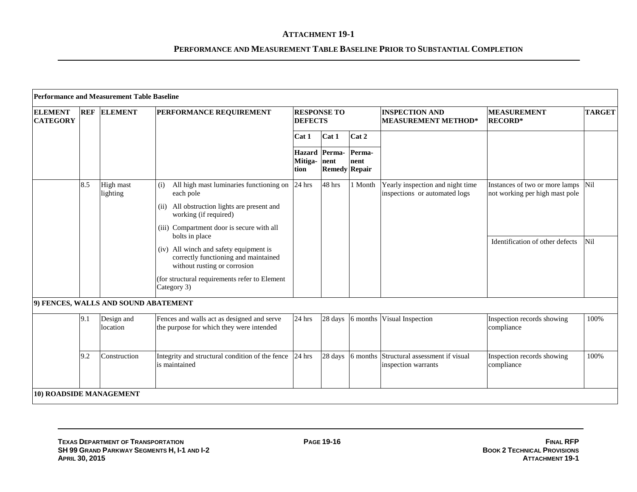|                                   |            | <b>Performance and Measurement Table Baseline</b> |                                                                                                                                                                                                                                                                                                                                                                                                       |                 |                                               |                |                                                                   |                                                                                                         |               |
|-----------------------------------|------------|---------------------------------------------------|-------------------------------------------------------------------------------------------------------------------------------------------------------------------------------------------------------------------------------------------------------------------------------------------------------------------------------------------------------------------------------------------------------|-----------------|-----------------------------------------------|----------------|-------------------------------------------------------------------|---------------------------------------------------------------------------------------------------------|---------------|
| <b>ELEMENT</b><br><b>CATEGORY</b> | <b>REF</b> | <b>ELEMENT</b>                                    | <b>PERFORMANCE REQUIREMENT</b>                                                                                                                                                                                                                                                                                                                                                                        | <b>DEFECTS</b>  | <b>RESPONSE TO</b>                            |                | <b>INSPECTION AND</b><br><b>MEASUREMENT METHOD*</b>               | <b>MEASUREMENT</b><br><b>RECORD*</b>                                                                    | <b>TARGET</b> |
|                                   |            |                                                   |                                                                                                                                                                                                                                                                                                                                                                                                       | Cat 1           | Cat 1                                         | Cat 2          |                                                                   |                                                                                                         |               |
|                                   |            |                                                   |                                                                                                                                                                                                                                                                                                                                                                                                       | Mitiga-<br>tion | Hazard Perma-<br>nent<br><b>Remedy Repair</b> | Perma-<br>nent |                                                                   |                                                                                                         |               |
|                                   | 8.5        | High mast<br>lighting                             | All high mast luminaries functioning on $\vert$ 24 hrs<br>(i)<br>each pole<br>All obstruction lights are present and<br>(i)<br>working (if required)<br>(iii) Compartment door is secure with all<br>bolts in place<br>(iv) All winch and safety equipment is<br>correctly functioning and maintained<br>without rusting or corrosion<br>(for structural requirements refer to Element<br>Category 3) |                 | 48 hrs                                        | 1 Month        | Yearly inspection and night time<br>inspections or automated logs | Instances of two or more lamps Nil<br>not working per high mast pole<br>Identification of other defects | Nil           |
|                                   |            | 9) FENCES, WALLS AND SOUND ABATEMENT              |                                                                                                                                                                                                                                                                                                                                                                                                       |                 |                                               |                |                                                                   |                                                                                                         |               |
|                                   | 9.1        | Design and<br>location                            | Fences and walls act as designed and serve<br>the purpose for which they were intended                                                                                                                                                                                                                                                                                                                | 24 hrs          | 28 days                                       | 6 months       | Visual Inspection                                                 | Inspection records showing<br>compliance                                                                | 100%          |
|                                   | 9.2        | Construction                                      | Integrity and structural condition of the fence 24 hrs<br>is maintained                                                                                                                                                                                                                                                                                                                               |                 | 28 days                                       | 6 months       | Structural assessment if visual<br>inspection warrants            | Inspection records showing<br>compliance                                                                | 100%          |
| 10) ROADSIDE MANAGEMENT           |            |                                                   |                                                                                                                                                                                                                                                                                                                                                                                                       |                 |                                               |                |                                                                   |                                                                                                         |               |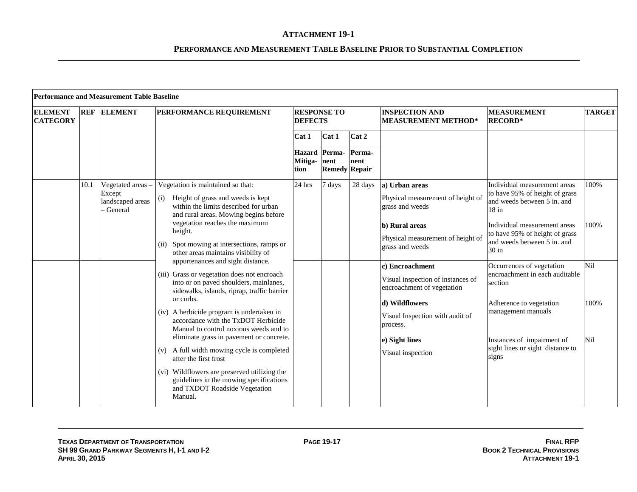| <b>ELEMENT</b><br><b>CATEGORY</b> | <b>REF</b>                                                                                                         | <b>ELEMENT</b>                                               | PERFORMANCE REQUIREMENT                                                                                                                                                                                                                                            | <b>RESPONSE TO</b><br><b>DEFECTS</b> |                                               |                                                                         | <b>INSPECTION AND</b><br><b>MEASUREMENT METHOD*</b>                                                                           | <b>MEASUREMENT</b><br><b>RECORD*</b>                                                                                                                                                                      | <b>TARGET</b> |
|-----------------------------------|--------------------------------------------------------------------------------------------------------------------|--------------------------------------------------------------|--------------------------------------------------------------------------------------------------------------------------------------------------------------------------------------------------------------------------------------------------------------------|--------------------------------------|-----------------------------------------------|-------------------------------------------------------------------------|-------------------------------------------------------------------------------------------------------------------------------|-----------------------------------------------------------------------------------------------------------------------------------------------------------------------------------------------------------|---------------|
|                                   |                                                                                                                    |                                                              |                                                                                                                                                                                                                                                                    | Cat 1                                | Cat 1                                         | Cat 2                                                                   |                                                                                                                               |                                                                                                                                                                                                           |               |
|                                   |                                                                                                                    |                                                              |                                                                                                                                                                                                                                                                    | Mitiga-<br>tion                      | Hazard Perma-<br>nent<br><b>Remedy Repair</b> | Perma-<br>nent                                                          |                                                                                                                               |                                                                                                                                                                                                           |               |
|                                   | 10.1                                                                                                               | Vegetated areas -<br>Except<br>landscaped areas<br>- General | Vegetation is maintained so that:<br>Height of grass and weeds is kept<br>(i)<br>within the limits described for urban<br>and rural areas. Mowing begins before<br>vegetation reaches the maximum<br>height.                                                       | 24 hrs                               | 7 days                                        | 28 days                                                                 | a) Urban areas<br>Physical measurement of height of<br>grass and weeds<br>b) Rural areas<br>Physical measurement of height of | Individual measurement areas<br>to have 95% of height of grass<br>and weeds between 5 in. and<br>$18$ in<br>Individual measurement areas<br>to have 95% of height of grass<br>and weeds between 5 in. and | 100%<br>100%  |
|                                   |                                                                                                                    |                                                              | Spot mowing at intersections, ramps or<br>(ii)<br>other areas maintains visibility of<br>appurtenances and sight distance.<br>(iii) Grass or vegetation does not encroach<br>into or on paved shoulders, mainlanes,<br>sidewalks, islands, riprap, traffic barrier |                                      |                                               |                                                                         | grass and weeds<br>c) Encroachment<br>Visual inspection of instances of<br>encroachment of vegetation                         | 30 in<br>Occurrences of vegetation<br>encroachment in each auditable<br>section                                                                                                                           | Nil           |
|                                   |                                                                                                                    |                                                              | or curbs.<br>(iv) A herbicide program is undertaken in<br>accordance with the TxDOT Herbicide<br>Manual to control noxious weeds and to                                                                                                                            |                                      |                                               |                                                                         | d) Wildflowers<br>Visual Inspection with audit of<br>process.                                                                 | Adherence to vegetation<br>management manuals                                                                                                                                                             | 100%          |
|                                   | eliminate grass in pavement or concrete.<br>A full width mowing cycle is completed<br>(v)<br>after the first frost |                                                              |                                                                                                                                                                                                                                                                    |                                      | e) Sight lines<br>Visual inspection           | Instances of impairment of<br>sight lines or sight distance to<br>signs | Nil                                                                                                                           |                                                                                                                                                                                                           |               |
|                                   |                                                                                                                    |                                                              | (vi) Wildflowers are preserved utilizing the<br>guidelines in the mowing specifications<br>and TXDOT Roadside Vegetation<br>Manual.                                                                                                                                |                                      |                                               |                                                                         |                                                                                                                               |                                                                                                                                                                                                           |               |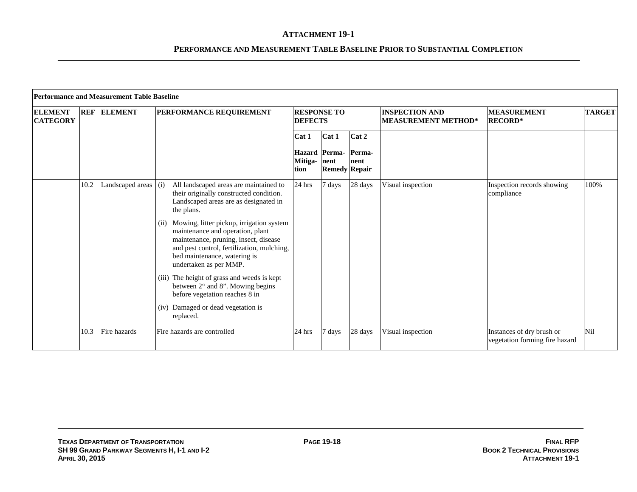|                                   | <b>Performance and Measurement Table Baseline</b> |                        |                                                                                                                                                                                                                                       |                                      |                                        |                |                                                     |                                                             |               |  |  |  |
|-----------------------------------|---------------------------------------------------|------------------------|---------------------------------------------------------------------------------------------------------------------------------------------------------------------------------------------------------------------------------------|--------------------------------------|----------------------------------------|----------------|-----------------------------------------------------|-------------------------------------------------------------|---------------|--|--|--|
| <b>ELEMENT</b><br><b>CATEGORY</b> | <b>REF</b>                                        | <b>ELEMENT</b>         | PERFORMANCE REQUIREMENT                                                                                                                                                                                                               | <b>RESPONSE TO</b><br><b>DEFECTS</b> |                                        |                | <b>INSPECTION AND</b><br><b>MEASUREMENT METHOD*</b> | <b>MEASUREMENT</b><br><b>RECORD*</b>                        | <b>TARGET</b> |  |  |  |
|                                   |                                                   |                        |                                                                                                                                                                                                                                       | Cat 1                                | Cat 1                                  | Cat 2          |                                                     |                                                             |               |  |  |  |
|                                   |                                                   |                        |                                                                                                                                                                                                                                       | <b>Hazard</b><br>Mitiga-<br>tion     | Perma-<br>nent<br><b>Remedy Repair</b> | Perma-<br>nent |                                                     |                                                             |               |  |  |  |
|                                   | 10.2                                              | Landscaped areas $(i)$ | All landscaped areas are maintained to<br>their originally constructed condition.<br>Landscaped areas are as designated in<br>the plans.                                                                                              | 24 hrs                               | 7 days                                 | 28 days        | Visual inspection                                   | Inspection records showing<br>compliance                    | 100%          |  |  |  |
|                                   |                                                   |                        | Mowing, litter pickup, irrigation system<br>(ii)<br>maintenance and operation, plant<br>maintenance, pruning, insect, disease<br>and pest control, fertilization, mulching,<br>bed maintenance, watering is<br>undertaken as per MMP. |                                      |                                        |                |                                                     |                                                             |               |  |  |  |
|                                   |                                                   |                        | (iii) The height of grass and weeds is kept<br>between 2" and 8". Mowing begins<br>before vegetation reaches 8 in                                                                                                                     |                                      |                                        |                |                                                     |                                                             |               |  |  |  |
|                                   |                                                   |                        | (iv) Damaged or dead vegetation is<br>replaced.                                                                                                                                                                                       |                                      |                                        |                |                                                     |                                                             |               |  |  |  |
|                                   | 10.3                                              | Fire hazards           | Fire hazards are controlled                                                                                                                                                                                                           | 24 hrs                               | 7 days                                 | 28 days        | Visual inspection                                   | Instances of dry brush or<br>vegetation forming fire hazard | Nil           |  |  |  |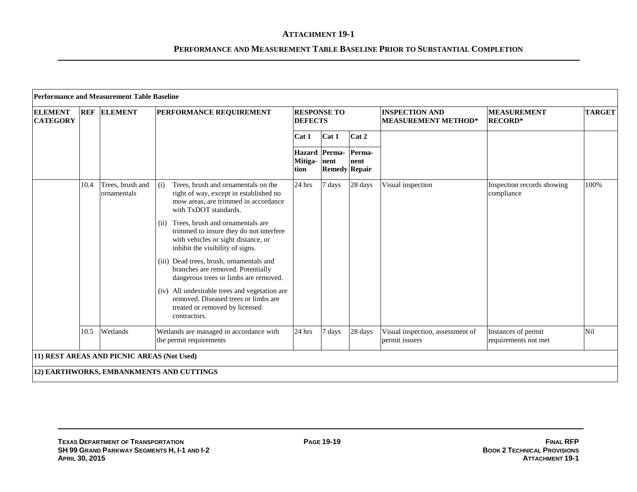| <b>Performance and Measurement Table Baseline</b><br><b>RESPONSE TO</b><br><b>INSPECTION AND</b><br><b>ELEMENT</b><br><b>MEASUREMENT</b><br><b>ELEMENT</b><br><b>REF</b><br><b>PERFORMANCE REQUIREMENT</b> |      |                                            |                                                                                                                                                                |                      |                                              |                |                                                    |                                             |               |
|------------------------------------------------------------------------------------------------------------------------------------------------------------------------------------------------------------|------|--------------------------------------------|----------------------------------------------------------------------------------------------------------------------------------------------------------------|----------------------|----------------------------------------------|----------------|----------------------------------------------------|---------------------------------------------|---------------|
| <b>CATEGORY</b>                                                                                                                                                                                            |      |                                            |                                                                                                                                                                | <b>DEFECTS</b>       |                                              |                | <b>MEASUREMENT METHOD*</b>                         | <b>RECORD*</b>                              | <b>TARGET</b> |
|                                                                                                                                                                                                            |      |                                            |                                                                                                                                                                | Cat 1                | Cat 1                                        | Cat 2          |                                                    |                                             |               |
|                                                                                                                                                                                                            |      |                                            |                                                                                                                                                                | Mitiga- nent<br>tion | <b>Hazard</b> Perma-<br><b>Remedy Repair</b> | Perma-<br>nent |                                                    |                                             |               |
|                                                                                                                                                                                                            | 10.4 | Trees, brush and<br>ornamentals            | (i)<br>Trees, brush and ornamentals on the<br>right of way, except in established no<br>mow areas, are trimmed in accordance<br>with TxDOT standards.          | 24 hrs               | 7 days                                       | 28 days        | Visual inspection                                  | Inspection records showing<br>compliance    | 100%          |
|                                                                                                                                                                                                            |      |                                            | Trees, brush and ornamentals are<br>(11)<br>trimmed to insure they do not interfere<br>with vehicles or sight distance, or<br>inhibit the visibility of signs. |                      |                                              |                |                                                    |                                             |               |
|                                                                                                                                                                                                            |      |                                            | (iii) Dead trees, brush, ornamentals and<br>branches are removed. Potentially<br>dangerous trees or limbs are removed.                                         |                      |                                              |                |                                                    |                                             |               |
|                                                                                                                                                                                                            |      |                                            | (iv) All undesirable trees and vegetation are<br>removed. Diseased trees or limbs are<br>treated or removed by licensed<br>contractors.                        |                      |                                              |                |                                                    |                                             |               |
|                                                                                                                                                                                                            | 10.5 | Wetlands                                   | Wetlands are managed in accordance with<br>the permit requirements                                                                                             | 24 hrs               | 7 days                                       | 28 days        | Visual inspection, assessment of<br>permit issuers | Instances of permit<br>requirements not met | Nil           |
|                                                                                                                                                                                                            |      | 11) REST AREAS AND PICNIC AREAS (Not Used) |                                                                                                                                                                |                      |                                              |                |                                                    |                                             |               |
|                                                                                                                                                                                                            |      |                                            | 12) EARTHWORKS, EMBANKMENTS AND CUTTINGS                                                                                                                       |                      |                                              |                |                                                    |                                             |               |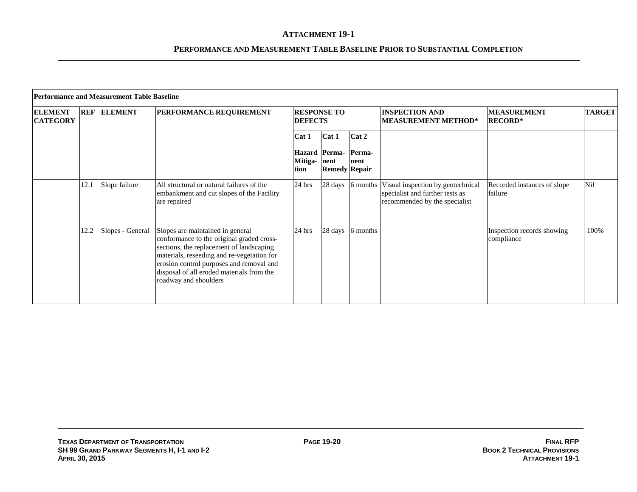|                                   | Performance and Measurement Table Baseline |                  |                                                                                                                                                                                                                                                                                           |                                      |                              |                  |                                                                                                       |                                          |               |  |  |
|-----------------------------------|--------------------------------------------|------------------|-------------------------------------------------------------------------------------------------------------------------------------------------------------------------------------------------------------------------------------------------------------------------------------------|--------------------------------------|------------------------------|------------------|-------------------------------------------------------------------------------------------------------|------------------------------------------|---------------|--|--|
| <b>ELEMENT</b><br><b>CATEGORY</b> | <b>REF</b>                                 | <b>ELEMENT</b>   | <b>PERFORMANCE REQUIREMENT</b>                                                                                                                                                                                                                                                            | <b>RESPONSE TO</b><br><b>DEFECTS</b> |                              |                  | <b>INSPECTION AND</b><br><b>MEASUREMENT METHOD*</b>                                                   | <b>MEASUREMENT</b><br><b>RECORD*</b>     | <b>TARGET</b> |  |  |
|                                   |                                            |                  |                                                                                                                                                                                                                                                                                           | Cat 1                                | Cat 1                        | Cat 2            |                                                                                                       |                                          |               |  |  |
|                                   |                                            |                  |                                                                                                                                                                                                                                                                                           | Hazard Perma-<br>Mitiga-<br>tion     | nent<br><b>Remedy Repair</b> | Perma-<br>Inent  |                                                                                                       |                                          |               |  |  |
|                                   | 12.1                                       | Slope failure    | All structural or natural failures of the<br>embankment and cut slopes of the Facility<br>are repaired                                                                                                                                                                                    | 24 hrs                               |                              | 28 days 6 months | Visual inspection by geotechnical<br>specialist and further tests as<br>recommended by the specialist | Recorded instances of slope<br>failure   | Nil           |  |  |
|                                   | 12.2                                       | Slopes - General | Slopes are maintained in general<br>conformance to the original graded cross-<br>sections, the replacement of landscaping<br>materials, reseeding and re-vegetation for<br>erosion control purposes and removal and<br>disposal of all eroded materials from the<br>roadway and shoulders | 24 hrs                               |                              | 28 days 6 months |                                                                                                       | Inspection records showing<br>compliance | 100%          |  |  |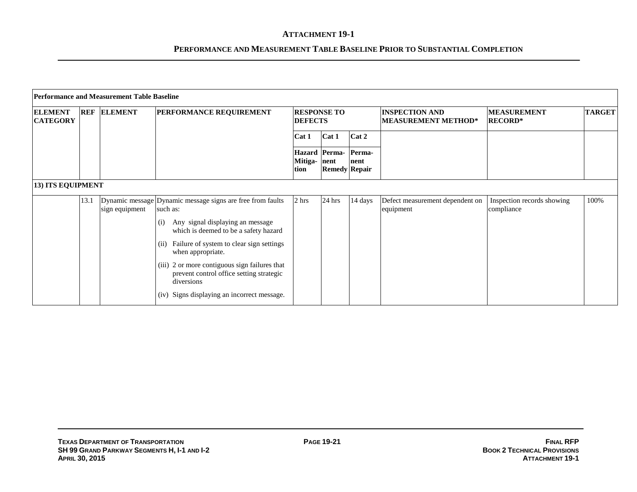|                                   | <b>Performance and Measurement Table Baseline</b> |                |                                                                                                                                                                                                                                                                                                                                                                                               |                     |                                              |                |                                                     |                                          |               |  |  |  |
|-----------------------------------|---------------------------------------------------|----------------|-----------------------------------------------------------------------------------------------------------------------------------------------------------------------------------------------------------------------------------------------------------------------------------------------------------------------------------------------------------------------------------------------|---------------------|----------------------------------------------|----------------|-----------------------------------------------------|------------------------------------------|---------------|--|--|--|
| <b>ELEMENT</b><br><b>CATEGORY</b> | <b>REF</b>                                        | <b>ELEMENT</b> | <b>PERFORMANCE REQUIREMENT</b>                                                                                                                                                                                                                                                                                                                                                                | <b>DEFECTS</b>      | <b>RESPONSE TO</b>                           |                | <b>INSPECTION AND</b><br><b>MEASUREMENT METHOD*</b> | <b>MEASUREMENT</b><br><b>RECORD*</b>     | <b>TARGET</b> |  |  |  |
|                                   |                                                   |                |                                                                                                                                                                                                                                                                                                                                                                                               | Cat 1               | Cat 1                                        | Cat 2          |                                                     |                                          |               |  |  |  |
|                                   |                                                   |                |                                                                                                                                                                                                                                                                                                                                                                                               | Mitiga-nent<br>tion | <b>Hazard</b> Perma-<br><b>Remedy Repair</b> | Perma-<br>nent |                                                     |                                          |               |  |  |  |
| <b>13) ITS EQUIPMENT</b>          |                                                   |                |                                                                                                                                                                                                                                                                                                                                                                                               |                     |                                              |                |                                                     |                                          |               |  |  |  |
|                                   | 13.1                                              | sign equipment | Dynamic message Dynamic message signs are free from faults<br>such as:<br>Any signal displaying an message<br>(i)<br>which is deemed to be a safety hazard<br>Failure of system to clear sign settings<br>(ii)<br>when appropriate.<br>(iii) 2 or more contiguous sign failures that<br>prevent control office setting strategic<br>diversions<br>(iv) Signs displaying an incorrect message. | 2 hrs               | 24 hrs                                       | 14 days        | Defect measurement dependent on<br>equipment        | Inspection records showing<br>compliance | 100%          |  |  |  |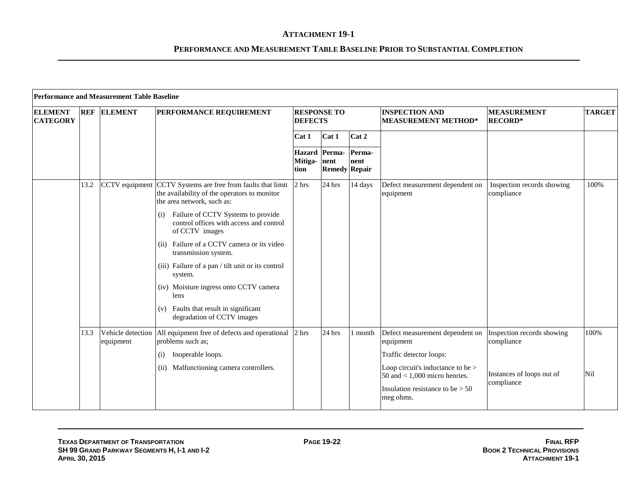|                                   | <b>Performance and Measurement Table Baseline</b> |                                |                                                                                                                            |                                      |                                              |                |                                                                         |                                          |               |  |  |
|-----------------------------------|---------------------------------------------------|--------------------------------|----------------------------------------------------------------------------------------------------------------------------|--------------------------------------|----------------------------------------------|----------------|-------------------------------------------------------------------------|------------------------------------------|---------------|--|--|
| <b>ELEMENT</b><br><b>CATEGORY</b> |                                                   | <b>REF ELEMENT</b>             | PERFORMANCE REQUIREMENT                                                                                                    | <b>RESPONSE TO</b><br><b>DEFECTS</b> |                                              |                | <b>INSPECTION AND</b><br><b>MEASUREMENT METHOD*</b>                     | <b>MEASUREMENT</b><br><b>RECORD*</b>     | <b>TARGET</b> |  |  |
|                                   |                                                   |                                |                                                                                                                            | Cat 1                                | Cat 1                                        | Cat 2          |                                                                         |                                          |               |  |  |
|                                   |                                                   |                                |                                                                                                                            | Mitiga- nent<br>tion                 | <b>Hazard</b> Perma-<br><b>Remedy Repair</b> | Perma-<br>nent |                                                                         |                                          |               |  |  |
|                                   | 13.2                                              | CCTV equipment                 | CCTV Systems are free from faults that limit<br>the availability of the operators to monitor<br>the area network, such as: | 2 hrs                                | 24 hrs                                       | 14 days        | Defect measurement dependent on<br>equipment                            | Inspection records showing<br>compliance | 100%          |  |  |
|                                   |                                                   |                                | Failure of CCTV Systems to provide<br>(i)<br>control offices with access and control<br>of CCTV images                     |                                      |                                              |                |                                                                         |                                          |               |  |  |
|                                   |                                                   |                                | Failure of a CCTV camera or its video<br>(ii)<br>transmission system.                                                      |                                      |                                              |                |                                                                         |                                          |               |  |  |
|                                   |                                                   |                                | (iii) Failure of a pan / tilt unit or its control<br>system.                                                               |                                      |                                              |                |                                                                         |                                          |               |  |  |
|                                   |                                                   |                                | (iv) Moisture ingress onto CCTV camera<br>lens                                                                             |                                      |                                              |                |                                                                         |                                          |               |  |  |
|                                   |                                                   |                                | (v) Faults that result in significant<br>degradation of CCTV images                                                        |                                      |                                              |                |                                                                         |                                          |               |  |  |
|                                   | 13.3                                              | Vehicle detection<br>equipment | All equipment free of defects and operational<br>problems such as;                                                         | 2 hrs                                | 24 hrs                                       | month          | Defect measurement dependent on Inspection records showing<br>equipment | compliance                               | 100%          |  |  |
|                                   |                                                   |                                | Inoperable loops.<br>(i)                                                                                                   |                                      |                                              |                | Traffic detector loops:                                                 |                                          |               |  |  |
|                                   |                                                   |                                | Malfunctioning camera controllers.<br>(ii)                                                                                 |                                      |                                              |                | Loop circuit's inductance to be $>$<br>50 and $<$ 1,000 micro henries.  | Instances of loops out of<br>compliance  | Nil           |  |  |
|                                   |                                                   |                                |                                                                                                                            |                                      |                                              |                | Insulation resistance to be $> 50$<br>meg ohms.                         |                                          |               |  |  |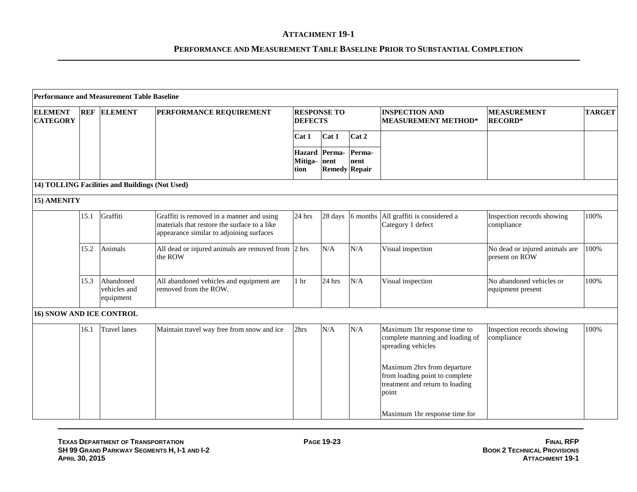|                                   |      | <b>Performance and Measurement Table Baseline</b> |                                                                                                                                       |                 |                                                      |                |                                                                                                                                                        |                                                  |               |
|-----------------------------------|------|---------------------------------------------------|---------------------------------------------------------------------------------------------------------------------------------------|-----------------|------------------------------------------------------|----------------|--------------------------------------------------------------------------------------------------------------------------------------------------------|--------------------------------------------------|---------------|
| <b>ELEMENT</b><br><b>CATEGORY</b> |      | <b>REF ELEMENT</b>                                | PERFORMANCE REQUIREMENT                                                                                                               | <b>DEFECTS</b>  | <b>RESPONSE TO</b>                                   |                | <b>INSPECTION AND</b><br><b>MEASUREMENT METHOD*</b>                                                                                                    | <b>MEASUREMENT</b><br><b>RECORD*</b>             | <b>TARGET</b> |
|                                   |      |                                                   |                                                                                                                                       | Cat 1           | Cat 1                                                | Cat 2          |                                                                                                                                                        |                                                  |               |
|                                   |      |                                                   |                                                                                                                                       | Mitiga-<br>tion | <b>Hazard</b> Perma-<br>nent<br><b>Remedy Repair</b> | Perma-<br>nent |                                                                                                                                                        |                                                  |               |
|                                   |      | 14) TOLLING Facilities and Buildings (Not Used)   |                                                                                                                                       |                 |                                                      |                |                                                                                                                                                        |                                                  |               |
| 15) AMENITY                       |      |                                                   |                                                                                                                                       |                 |                                                      |                |                                                                                                                                                        |                                                  |               |
|                                   | 15.1 | Graffiti                                          | Graffiti is removed in a manner and using<br>materials that restore the surface to a like<br>appearance similar to adjoining surfaces | 24 hrs          | 28 days                                              | 6 months       | All graffiti is considered a<br>Category 1 defect                                                                                                      | Inspection records showing<br>compliance         | 100%          |
|                                   | 15.2 | Animals                                           | All dead or injured animals are removed from 2 hrs<br>the ROW                                                                         |                 | N/A                                                  | N/A            | Visual inspection                                                                                                                                      | No dead or injured animals are<br>present on ROW | 100%          |
|                                   | 15.3 | Abandoned<br>vehicles and<br>equipment            | All abandoned vehicles and equipment are<br>removed from the ROW.                                                                     | 1 <sub>hr</sub> | 24 hrs                                               | N/A            | Visual inspection                                                                                                                                      | No abandoned vehicles or<br>equipment present    | 100%          |
| <b>16) SNOW AND ICE CONTROL</b>   |      |                                                   |                                                                                                                                       |                 |                                                      |                |                                                                                                                                                        |                                                  |               |
|                                   | 16.1 | <b>Travel lanes</b>                               | Maintain travel way free from snow and ice                                                                                            | 2hrs            | N/A                                                  | N/A            | Maximum 1hr response time to<br>complete manning and loading of<br>spreading vehicles<br>Maximum 2hrs from departure<br>from loading point to complete | Inspection records showing<br>compliance         | 100%          |
|                                   |      |                                                   |                                                                                                                                       |                 |                                                      |                | treatment and return to loading<br>point<br>Maximum 1hr response time for                                                                              |                                                  |               |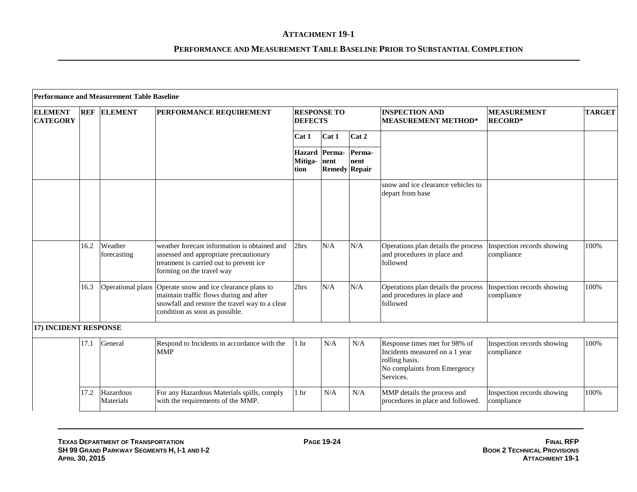|                                   |            | <b>Performance and Measurement Table Baseline</b> |                                                                                                                                                                                          |                                      |                                              |                |                                                                                                                                |                                          |               |
|-----------------------------------|------------|---------------------------------------------------|------------------------------------------------------------------------------------------------------------------------------------------------------------------------------------------|--------------------------------------|----------------------------------------------|----------------|--------------------------------------------------------------------------------------------------------------------------------|------------------------------------------|---------------|
| <b>ELEMENT</b><br><b>CATEGORY</b> | <b>REF</b> | <b>ELEMENT</b>                                    | <b>PERFORMANCE REQUIREMENT</b>                                                                                                                                                           | <b>RESPONSE TO</b><br><b>DEFECTS</b> |                                              |                | <b>INSPECTION AND</b><br><b>MEASUREMENT METHOD*</b>                                                                            | <b>MEASUREMENT</b><br><b>RECORD*</b>     | <b>TARGET</b> |
|                                   |            |                                                   |                                                                                                                                                                                          | Cat 1                                | Cat 1                                        | Cat 2          |                                                                                                                                |                                          |               |
|                                   |            |                                                   |                                                                                                                                                                                          | Mitiga- nent<br>tion                 | <b>Hazard</b> Perma-<br><b>Remedy Repair</b> | Perma-<br>nent |                                                                                                                                |                                          |               |
|                                   |            |                                                   |                                                                                                                                                                                          |                                      |                                              |                | snow and ice clearance vehicles to<br>depart from base                                                                         |                                          |               |
|                                   | 16.2       | Weather<br>forecasting                            | weather forecast information is obtained and<br>assessed and appropriate precautionary<br>treatment is carried out to prevent ice<br>forming on the travel way                           | 2hrs                                 | N/A                                          | N/A            | Operations plan details the process<br>and procedures in place and<br>followed                                                 | Inspection records showing<br>compliance | 100%          |
|                                   | 16.3       |                                                   | Operational plans Operate snow and ice clearance plans to<br>maintain traffic flows during and after<br>snowfall and restore the travel way to a clear<br>condition as soon as possible. | 2hrs                                 | N/A                                          | N/A            | Operations plan details the process<br>and procedures in place and<br>followed                                                 | Inspection records showing<br>compliance | 100%          |
| 17) INCIDENT RESPONSE             |            |                                                   |                                                                                                                                                                                          |                                      |                                              |                |                                                                                                                                |                                          |               |
|                                   | 17.1       | General                                           | Respond to Incidents in accordance with the<br><b>MMP</b>                                                                                                                                | 1 <sub>hr</sub>                      | N/A                                          | N/A            | Response times met for 98% of<br>Incidents measured on a 1 year<br>rolling basis.<br>No complaints from Emergency<br>Services. | Inspection records showing<br>compliance | 100%          |
|                                   | 17.2       | Hazardous<br>Materials                            | For any Hazardous Materials spills, comply<br>with the requirements of the MMP.                                                                                                          | 1 hr                                 | N/A                                          | N/A            | MMP details the process and<br>procedures in place and followed.                                                               | Inspection records showing<br>compliance | 100%          |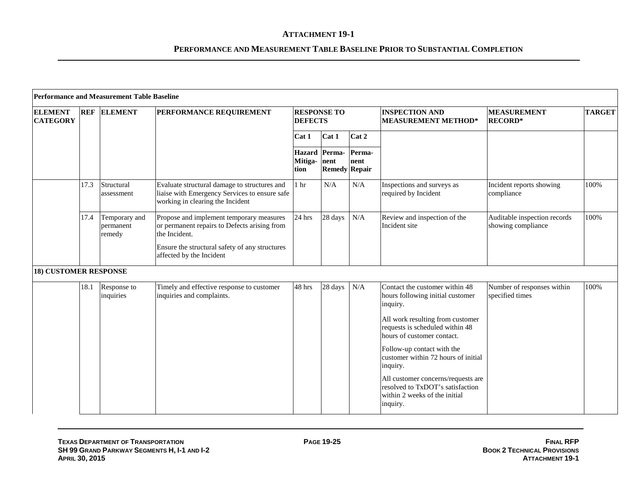|                                   |      | <b>Performance and Measurement Table Baseline</b> |                                                                                                                                                                                         |                                      |                                               |                |                                                                                                                                                                                                                                                                                                                                                                                             |                                                    |               |
|-----------------------------------|------|---------------------------------------------------|-----------------------------------------------------------------------------------------------------------------------------------------------------------------------------------------|--------------------------------------|-----------------------------------------------|----------------|---------------------------------------------------------------------------------------------------------------------------------------------------------------------------------------------------------------------------------------------------------------------------------------------------------------------------------------------------------------------------------------------|----------------------------------------------------|---------------|
| <b>ELEMENT</b><br><b>CATEGORY</b> |      | <b>REF ELEMENT</b>                                | PERFORMANCE REQUIREMENT                                                                                                                                                                 | <b>RESPONSE TO</b><br><b>DEFECTS</b> |                                               |                | <b>INSPECTION AND</b><br><b>MEASUREMENT METHOD*</b>                                                                                                                                                                                                                                                                                                                                         | <b>MEASUREMENT</b><br><b>RECORD*</b>               | <b>TARGET</b> |
|                                   |      |                                                   |                                                                                                                                                                                         | Cat 1                                | Cat 1                                         | Cat 2          |                                                                                                                                                                                                                                                                                                                                                                                             |                                                    |               |
|                                   |      |                                                   |                                                                                                                                                                                         | Mitiga-<br>tion                      | Hazard Perma-<br>nent<br><b>Remedy Repair</b> | Perma-<br>nent |                                                                                                                                                                                                                                                                                                                                                                                             |                                                    |               |
|                                   | 17.3 | Structural<br>assessment                          | Evaluate structural damage to structures and<br>liaise with Emergency Services to ensure safe<br>working in clearing the Incident                                                       | 1 <sub>hr</sub>                      | N/A                                           | N/A            | Inspections and surveys as<br>required by Incident                                                                                                                                                                                                                                                                                                                                          | Incident reports showing<br>compliance             | 100%          |
|                                   | 17.4 | Temporary and<br>permanent<br>remedy              | Propose and implement temporary measures<br>or permanent repairs to Defects arising from<br>the Incident.<br>Ensure the structural safety of any structures<br>affected by the Incident | 24 hrs                               | 28 days                                       | N/A            | Review and inspection of the<br>Incident site                                                                                                                                                                                                                                                                                                                                               | Auditable inspection records<br>showing compliance | 100%          |
| <b>18) CUSTOMER RESPONSE</b>      |      |                                                   |                                                                                                                                                                                         |                                      |                                               |                |                                                                                                                                                                                                                                                                                                                                                                                             |                                                    |               |
|                                   | 18.1 | Response to<br>inquiries                          | Timely and effective response to customer<br>inquiries and complaints.                                                                                                                  | 48 hrs                               | 28 days                                       | N/A            | Contact the customer within 48<br>hours following initial customer<br>inquiry.<br>All work resulting from customer<br>requests is scheduled within 48<br>hours of customer contact.<br>Follow-up contact with the<br>customer within 72 hours of initial<br>inquiry.<br>All customer concerns/requests are<br>resolved to TxDOT's satisfaction<br>within 2 weeks of the initial<br>inquiry. | Number of responses within<br>specified times      | 100%          |